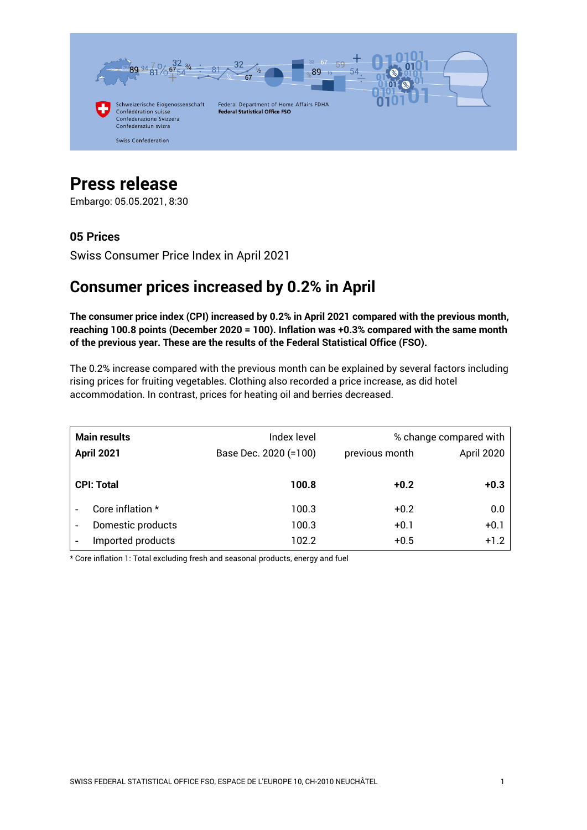

# **Press release**

Embargo: 05.05.2021, 8:30

# **05 Prices**

Swiss Consumer Price Index in April 2021

# **Consumer prices increased by 0.2% in April**

**The consumer price index (CPI) increased by 0.2% in April 2021 compared with the previous month, reaching 100.8 points (December 2020 = 100). Inflation was +0.3% compared with the same month of the previous year. These are the results of the Federal Statistical Office (FSO).**

The 0.2% increase compared with the previous month can be explained by several factors including rising prices for fruiting vegetables. Clothing also recorded a price increase, as did hotel accommodation. In contrast, prices for heating oil and berries decreased.

| <b>Main results</b><br><b>April 2021</b> |                   | Index level<br>Base Dec. 2020 (=100) | previous month | % change compared with<br>April 2020 |
|------------------------------------------|-------------------|--------------------------------------|----------------|--------------------------------------|
|                                          | <b>CPI: Total</b> | 100.8                                | $+0.2$         | $+0.3$                               |
|                                          | Core inflation *  | 100.3                                | $+0.2$         | 0.0                                  |
| ٠                                        | Domestic products | 100.3                                | $+0.1$         | $+0.1$                               |
| $\overline{\phantom{0}}$                 | Imported products | 102.2                                | $+0.5$         | $+1.2$                               |

\* Core inflation 1: Total excluding fresh and seasonal products, energy and fuel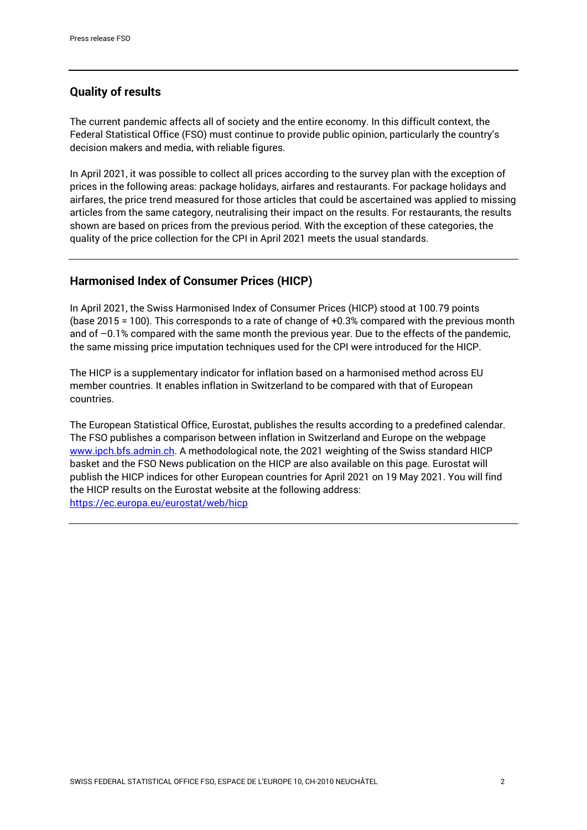## **Quality of results**

The current pandemic affects all of society and the entire economy. In this difficult context, the Federal Statistical Office (FSO) must continue to provide public opinion, particularly the country's decision makers and media, with reliable figures.

In April 2021, it was possible to collect all prices according to the survey plan with the exception of prices in the following areas: package holidays, airfares and restaurants. For package holidays and airfares, the price trend measured for those articles that could be ascertained was applied to missing articles from the same category, neutralising their impact on the results. For restaurants, the results shown are based on prices from the previous period. With the exception of these categories, the quality of the price collection for the CPI in April 2021 meets the usual standards.

## **Harmonised Index of Consumer Prices (HICP)**

In April 2021, the Swiss Harmonised Index of Consumer Prices (HICP) stood at 100.79 points (base 2015 = 100). This corresponds to a rate of change of +0.3% compared with the previous month and of  $-0.1$ % compared with the same month the previous year. Due to the effects of the pandemic, the same missing price imputation techniques used for the CPI were introduced for the HICP.

The HICP is a supplementary indicator for inflation based on a harmonised method across EU member countries. It enables inflation in Switzerland to be compared with that of European countries.

The European Statistical Office, Eurostat, publishes the results according to a predefined calendar. The FSO publishes a comparison between inflation in Switzerland and Europe on the webpage [www.ipch.bfs.admin.ch.](https://www.bfs.admin.ch/bfs/en/home/statistics/prices/harmonized-consumer-prices.html) A methodological note, the 2021 weighting of the Swiss standard HICP basket and the FSO News publication on the HICP are also available on this page. Eurostat will publish the HICP indices for other European countries for April 2021 on 19 May 2021. You will find the HICP results on the Eurostat website at the following address: <https://ec.europa.eu/eurostat/web/hicp>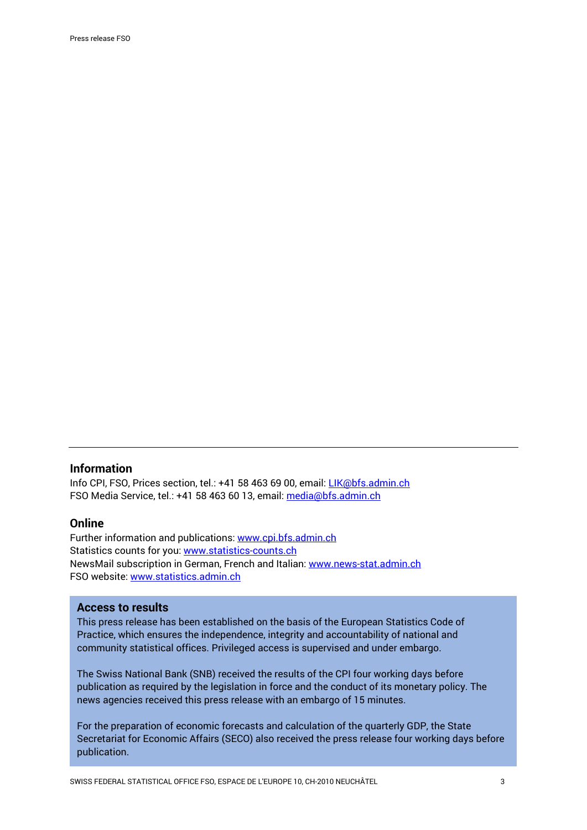#### **Information**

Info CPI, FSO, Prices section, tel.: +41 58 463 69 00, email: [LIK@bfs.admin.ch](mailto:LIK@bfs.admin.ch) FSO Media Service, tel.: +41 58 463 60 13, email[: media@bfs.admin.ch](mailto:media@bfs.admin.ch)

#### **Online**

Further information and publications: [www.cpi.bfs.admin.ch](https://www.bfs.admin.ch/bfs/en/home/statistics/prices/consumer-price-index.html) Statistics counts for you: [www.statistics-counts.ch](https://statistics-counts.ch/) NewsMail subscription in German, French and Italian: [www.news-stat.admin.ch](https://www.bfs.admin.ch/bfs/de/home/dienstleistungen/fuer-medienschaffende/newsmail-abonnement.html) FSO website: [www.statistics.admin.ch](https://www.bfs.admin.ch/bfs/en/home.html)

#### **Access to results**

This press release has been established on the basis of the European Statistics Code of Practice, which ensures the independence, integrity and accountability of national and community statistical offices. Privileged access is supervised and under embargo.

The Swiss National Bank (SNB) received the results of the CPI four working days before publication as required by the legislation in force and the conduct of its monetary policy. The news agencies received this press release with an embargo of 15 minutes.

For the preparation of economic forecasts and calculation of the quarterly GDP, the State Secretariat for Economic Affairs (SECO) also received the press release four working days before publication.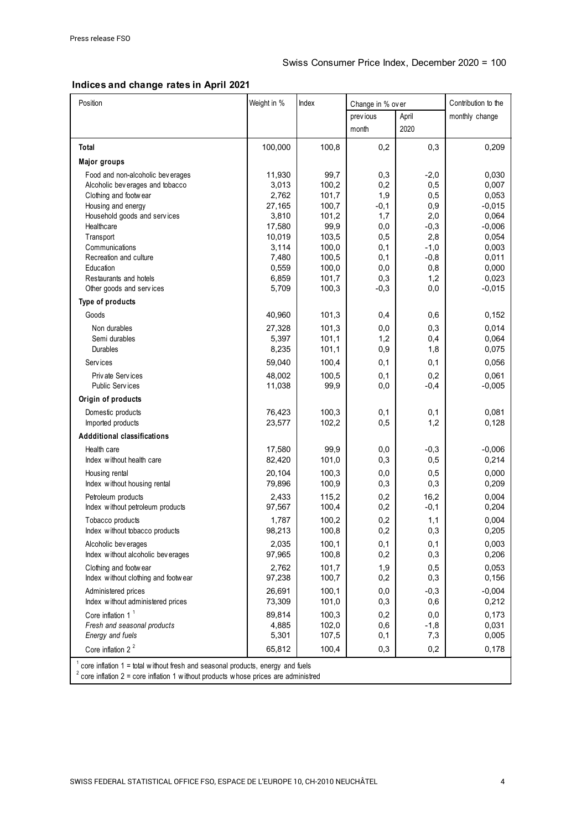#### **Indices and change rates in April 2021**

| Position                                                                            | Weight in %    | Index          | Change in % over |            | Contribution to the |  |  |  |  |
|-------------------------------------------------------------------------------------|----------------|----------------|------------------|------------|---------------------|--|--|--|--|
|                                                                                     |                |                | prev ious        | April      | monthly change      |  |  |  |  |
|                                                                                     |                |                | month            | 2020       |                     |  |  |  |  |
|                                                                                     |                |                |                  |            |                     |  |  |  |  |
| Total                                                                               | 100,000        | 100,8          | 0,2              | 0,3        | 0,209               |  |  |  |  |
| <b>Major groups</b>                                                                 |                |                |                  |            |                     |  |  |  |  |
| Food and non-alcoholic beverages                                                    | 11,930         | 99,7           | 0,3              | $-2,0$     | 0,030               |  |  |  |  |
| Alcoholic beverages and tobacco<br>Clothing and footwear                            | 3,013<br>2,762 | 100,2<br>101,7 | 0,2<br>1,9       | 0,5<br>0,5 | 0,007<br>0,053      |  |  |  |  |
| Housing and energy                                                                  | 27,165         | 100,7          | $-0,1$           | 0,9        | $-0,015$            |  |  |  |  |
| Household goods and services                                                        | 3,810          | 101,2          | 1,7              | 2,0        | 0,064               |  |  |  |  |
| Healthcare                                                                          | 17,580         | 99,9           | 0,0              | $-0,3$     | $-0,006$            |  |  |  |  |
| Transport                                                                           | 10,019         | 103,5          | 0,5              | 2,8        | 0,054               |  |  |  |  |
| Communications                                                                      | 3,114          | 100,0          | 0,1              | $-1,0$     | 0,003               |  |  |  |  |
| Recreation and culture                                                              | 7,480          | 100,5          | 0,1              | $-0,8$     | 0,011               |  |  |  |  |
| Education                                                                           | 0,559          | 100,0          | 0,0              | 0,8        | 0,000               |  |  |  |  |
| Restaurants and hotels                                                              | 6,859          | 101,7          | 0,3              | 1,2        | 0,023               |  |  |  |  |
| Other goods and services                                                            | 5,709          | 100,3          | $-0,3$           | 0,0        | $-0,015$            |  |  |  |  |
| Type of products                                                                    |                |                |                  |            |                     |  |  |  |  |
| Goods                                                                               | 40,960         | 101,3          | 0,4              | 0,6        | 0,152               |  |  |  |  |
| Non durables                                                                        | 27,328         | 101,3          | 0,0              | 0,3        | 0,014               |  |  |  |  |
| Semi durables                                                                       | 5,397          | 101,1          | 1,2              | 0,4        | 0,064               |  |  |  |  |
| Durables                                                                            | 8,235          | 101,1          | 0,9              | 1,8        | 0,075               |  |  |  |  |
| Serv ices                                                                           | 59,040         | 100,4          | 0,1              | 0,1        | 0,056               |  |  |  |  |
| Priv ate Services                                                                   | 48,002         | 100,5          | 0,1              | 0,2        | 0,061               |  |  |  |  |
| <b>Public Services</b>                                                              | 11,038         | 99,9           | 0,0              | $-0,4$     | $-0,005$            |  |  |  |  |
| Origin of products                                                                  |                |                |                  |            |                     |  |  |  |  |
| Domestic products                                                                   | 76,423         | 100,3          | 0,1              | 0,1        | 0,081               |  |  |  |  |
| Imported products                                                                   | 23,577         | 102,2          | 0,5              | 1,2        | 0,128               |  |  |  |  |
| <b>Addditional classifications</b>                                                  |                |                |                  |            |                     |  |  |  |  |
| Health care                                                                         | 17,580         | 99,9           | 0,0              | $-0,3$     | $-0,006$            |  |  |  |  |
| Index without health care                                                           | 82,420         | 101,0          | 0,3              | 0,5        | 0,214               |  |  |  |  |
| Housing rental                                                                      | 20,104         | 100,3          | 0,0              | 0,5        | 0,000               |  |  |  |  |
| Index without housing rental                                                        | 79,896         | 100,9          | 0,3              | 0,3        | 0,209               |  |  |  |  |
| Petroleum products                                                                  | 2,433          | 115,2          | 0,2              | 16,2       | 0,004               |  |  |  |  |
| Index without petroleum products                                                    | 97,567         | 100,4          | 0,2              | $-0,1$     | 0,204               |  |  |  |  |
| Tobacco products                                                                    | 1,787          | 100,2          | 0,2              | 1,1        | 0,004               |  |  |  |  |
| Index without tobacco products                                                      | 98,213         | 100,8          | 0,2              | 0,3        | 0,205               |  |  |  |  |
| Alcoholic beverages                                                                 | 2,035          | 100,1          | 0,1              | 0,1        | 0,003               |  |  |  |  |
| Index without alcoholic beverages                                                   | 97,965         | 100,8          | 0,2              | 0,3        | 0,206               |  |  |  |  |
| Clothing and footwear                                                               | 2,762          | 101,7          | 1,9              | 0,5        | 0,053               |  |  |  |  |
| Index without clothing and footwear                                                 | 97,238         | 100,7          | 0,2              | 0,3        | 0,156               |  |  |  |  |
| Administered prices                                                                 | 26,691         | 100,1          | 0,0              | $-0,3$     | $-0,004$            |  |  |  |  |
| Index without administered prices                                                   | 73,309         | 101,0          | 0,3              | 0,6        | 0,212               |  |  |  |  |
| Core inflation $11$                                                                 | 89,814         | 100,3          | 0,2              | $_{0,0}$   | 0,173               |  |  |  |  |
| Fresh and seasonal products                                                         | 4,885          | 102,0          | 0,6              | $-1,8$     | 0,031               |  |  |  |  |
| Energy and fuels                                                                    | 5,301          | 107,5          | 0,1              | 7,3        | 0,005               |  |  |  |  |
| Core inflation $2^2$                                                                | 65,812         | 100,4          | 0,3              | 0,2        | 0,178               |  |  |  |  |
| core inflation 1 = total without fresh and seasonal products, energy and fuels      |                |                |                  |            |                     |  |  |  |  |
| core inflation $2 =$ core inflation 1 without products whose prices are administred |                |                |                  |            |                     |  |  |  |  |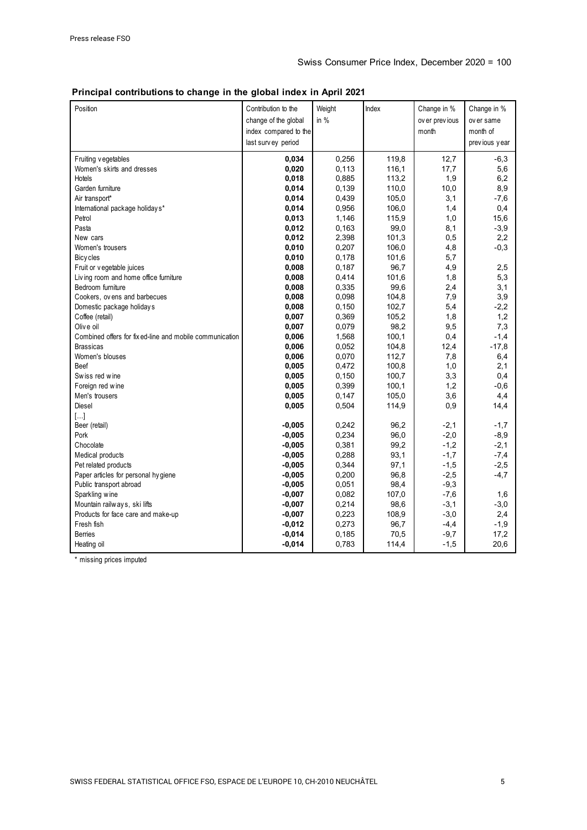#### **Principal contributions to change in the global index in April 2021**

| Position                                                 | Contribution to the<br>change of the global<br>index compared to the<br>last survey period | Weight<br>in $%$ | Index | Change in %<br>ov er previous<br>month | Change in %<br>over same<br>month of<br>previous year |
|----------------------------------------------------------|--------------------------------------------------------------------------------------------|------------------|-------|----------------------------------------|-------------------------------------------------------|
| Fruiting vegetables                                      | 0,034                                                                                      | 0,256            | 119,8 | 12,7                                   | $-6,3$                                                |
| Women's skirts and dresses                               | 0,020                                                                                      | 0,113            | 116,1 | 17,7                                   | 5,6                                                   |
| <b>Hotels</b>                                            | 0,018                                                                                      | 0,885            | 113,2 | 1,9                                    | 6,2                                                   |
| Garden furniture                                         | 0,014                                                                                      | 0,139            | 110,0 | 10,0                                   | 8,9                                                   |
| Air transport*                                           | 0,014                                                                                      | 0,439            | 105,0 | 3,1                                    | $-7,6$                                                |
| International package holiday s*                         | 0,014                                                                                      | 0,956            | 106,0 | 1,4                                    | 0,4                                                   |
| Petrol                                                   | 0,013                                                                                      | 1,146            | 115,9 | 1,0                                    | 15,6                                                  |
| Pasta                                                    | 0,012                                                                                      | 0,163            | 99,0  | 8,1                                    | $-3,9$                                                |
| New cars                                                 | 0,012                                                                                      | 2,398            | 101,3 | 0,5                                    | 2,2                                                   |
| Women's trousers                                         | 0,010                                                                                      | 0,207            | 106,0 | 4,8                                    | $-0,3$                                                |
| Bicy cles                                                | 0,010                                                                                      | 0,178            | 101,6 | 5,7                                    |                                                       |
| Fruit or v egetable juices                               | 0,008                                                                                      | 0,187            | 96,7  | 4,9                                    | 2,5                                                   |
| Living room and home office furniture                    | 0,008                                                                                      | 0,414            | 101,6 | 1,8                                    | 5,3                                                   |
| Bedroom furniture                                        | 0,008                                                                                      | 0,335            | 99,6  | 2,4                                    | 3,1                                                   |
| Cookers, ovens and barbecues                             | 0,008                                                                                      | 0,098            | 104,8 | 7,9                                    | 3,9                                                   |
| Domestic package holidays                                | 0,008                                                                                      | 0,150            | 102,7 | 5,4                                    | $-2,2$                                                |
| Coffee (retail)                                          | 0,007                                                                                      | 0,369            | 105,2 | 1,8                                    | 1,2                                                   |
| Olive oil                                                | 0,007                                                                                      | 0,079            | 98,2  | 9,5                                    | 7,3                                                   |
| Combined offers for fix ed-line and mobile communication | 0,006                                                                                      | 1,568            | 100,1 | 0,4                                    | $-1,4$                                                |
| <b>Brassicas</b>                                         | 0,006                                                                                      | 0,052            | 104,8 | 12,4                                   | $-17,8$                                               |
| Women's blouses                                          | 0,006                                                                                      | 0,070            | 112,7 | 7,8                                    | 6,4                                                   |
| Beef                                                     | 0,005                                                                                      | 0,472            | 100,8 | 1,0                                    | 2,1                                                   |
| Swiss red wine                                           | 0,005                                                                                      | 0,150            | 100,7 | 3,3                                    | 0,4                                                   |
| Foreign red wine                                         | 0,005                                                                                      | 0,399            | 100,1 | 1,2                                    | $-0,6$                                                |
| Men's trousers                                           | 0,005                                                                                      | 0,147            | 105,0 | 3,6                                    | 4,4                                                   |
| Diesel                                                   | 0,005                                                                                      | 0,504            | 114,9 | 0,9                                    | 14,4                                                  |
| $[\ldots]$                                               |                                                                                            |                  |       |                                        |                                                       |
| Beer (retail)                                            | $-0,005$                                                                                   | 0,242            | 96,2  | $-2,1$                                 | $-1,7$                                                |
| Pork                                                     | $-0,005$                                                                                   | 0,234            | 96,0  | $-2,0$                                 | $-8,9$                                                |
| Chocolate                                                | $-0,005$                                                                                   | 0,381            | 99,2  | $-1,2$                                 | $-2,1$                                                |
| Medical products                                         | $-0,005$                                                                                   | 0,288            | 93,1  | $-1,7$                                 | $-7,4$                                                |
| Pet related products                                     | $-0,005$                                                                                   | 0,344            | 97,1  | $-1,5$                                 | $-2,5$                                                |
| Paper articles for personal hygiene                      | $-0,005$                                                                                   | 0,200            | 96,8  | $-2,5$                                 | $-4,7$                                                |
| Public transport abroad                                  | $-0,005$                                                                                   | 0,051            | 98,4  | $-9,3$                                 |                                                       |
| Sparkling wine                                           | $-0,007$                                                                                   | 0,082            | 107,0 | $-7,6$                                 | 1,6                                                   |
| Mountain railways, ski lifts                             | $-0,007$                                                                                   | 0,214            | 98,6  | $-3,1$                                 | $-3,0$                                                |
| Products for face care and make-up                       | $-0,007$                                                                                   | 0,223            | 108,9 | $-3,0$                                 | 2,4                                                   |
| Fresh fish                                               | $-0,012$                                                                                   | 0,273            | 96,7  | $-4,4$                                 | $-1,9$                                                |
| <b>Berries</b>                                           | $-0,014$                                                                                   | 0,185            | 70,5  | $-9,7$                                 | 17,2                                                  |
| Heating oil                                              | $-0,014$                                                                                   | 0,783            | 114,4 | $-1,5$                                 | 20,6                                                  |

\* missing prices imputed